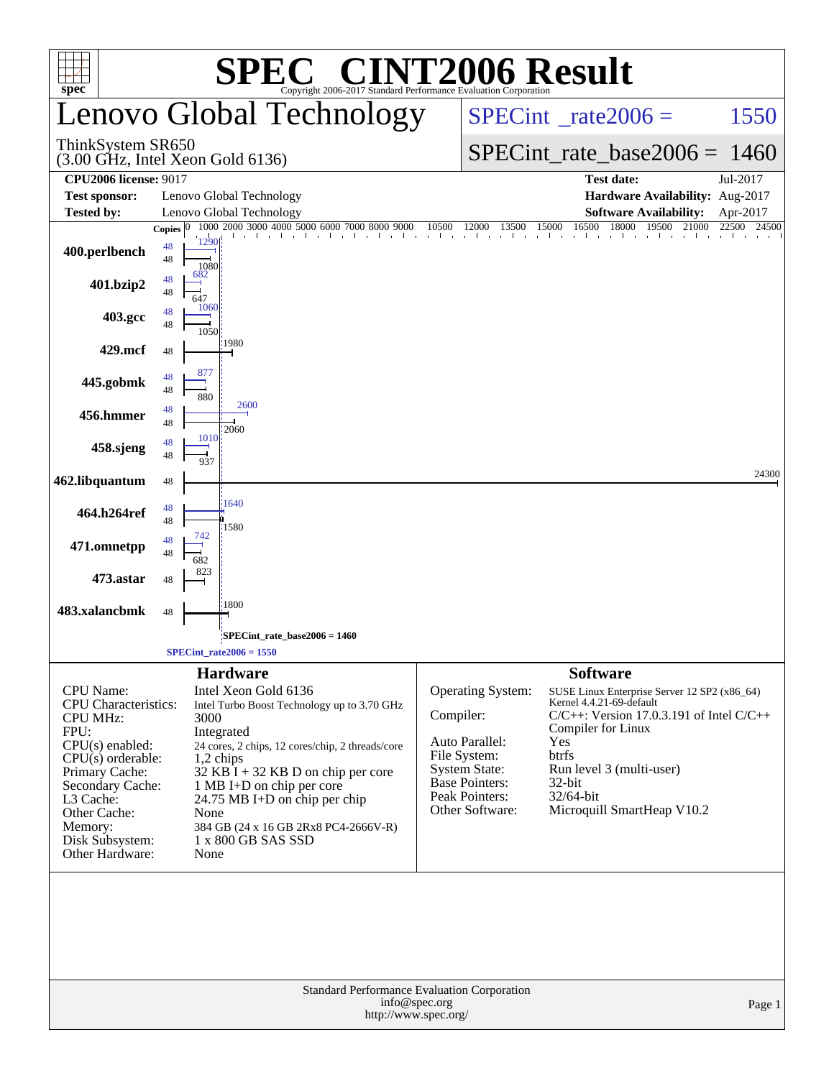| $spec^*$                                                                                                                                                                                                                                   | <b>C® CINT2006 Result</b><br>Copyright 2006-2017 Standard Performance Evaluation Corporation                                                                                                                                                                                                                                                                                  |                                 |                                                                                                                                                  |                                                                                                          |                                                                                                                                                         |                         |
|--------------------------------------------------------------------------------------------------------------------------------------------------------------------------------------------------------------------------------------------|-------------------------------------------------------------------------------------------------------------------------------------------------------------------------------------------------------------------------------------------------------------------------------------------------------------------------------------------------------------------------------|---------------------------------|--------------------------------------------------------------------------------------------------------------------------------------------------|----------------------------------------------------------------------------------------------------------|---------------------------------------------------------------------------------------------------------------------------------------------------------|-------------------------|
|                                                                                                                                                                                                                                            | Lenovo Global Technology                                                                                                                                                                                                                                                                                                                                                      | $SPECint^{\circ}$ rate $2006 =$ |                                                                                                                                                  |                                                                                                          | 1550                                                                                                                                                    |                         |
| ThinkSystem SR650                                                                                                                                                                                                                          | $(3.00 \text{ GHz}, \text{Intel Xeon Gold } 6136)$                                                                                                                                                                                                                                                                                                                            |                                 |                                                                                                                                                  | $SPECint_rate_base2006 = 1460$                                                                           |                                                                                                                                                         |                         |
| <b>CPU2006 license: 9017</b>                                                                                                                                                                                                               |                                                                                                                                                                                                                                                                                                                                                                               |                                 |                                                                                                                                                  |                                                                                                          | <b>Test date:</b>                                                                                                                                       | Jul-2017                |
| <b>Test sponsor:</b><br>Tested by:                                                                                                                                                                                                         | Lenovo Global Technology<br>Lenovo Global Technology                                                                                                                                                                                                                                                                                                                          |                                 |                                                                                                                                                  |                                                                                                          | Hardware Availability: Aug-2017<br><b>Software Availability:</b>                                                                                        |                         |
|                                                                                                                                                                                                                                            | 1000 2000 3000 4000 5000 6000 7000 8000 9000<br>Copies $ 0 $                                                                                                                                                                                                                                                                                                                  | 10500                           | 12000<br>13500                                                                                                                                   | 16500<br>15000                                                                                           | 18000<br>19500<br>21000                                                                                                                                 | Apr-2017<br>22500 24500 |
| 400.perlbench                                                                                                                                                                                                                              | 1290<br>48<br>48<br>1080                                                                                                                                                                                                                                                                                                                                                      |                                 |                                                                                                                                                  |                                                                                                          | and the art and the art and the art and                                                                                                                 |                         |
| 401.bzip2                                                                                                                                                                                                                                  | 682<br>48<br>48<br>647<br>1060                                                                                                                                                                                                                                                                                                                                                |                                 |                                                                                                                                                  |                                                                                                          |                                                                                                                                                         |                         |
| 403.gcc                                                                                                                                                                                                                                    | 48<br>48<br>1050<br>:1980                                                                                                                                                                                                                                                                                                                                                     |                                 |                                                                                                                                                  |                                                                                                          |                                                                                                                                                         |                         |
| 429.mcf                                                                                                                                                                                                                                    | 48                                                                                                                                                                                                                                                                                                                                                                            |                                 |                                                                                                                                                  |                                                                                                          |                                                                                                                                                         |                         |
| 445.gobmk                                                                                                                                                                                                                                  | 877<br>48<br>48<br>880<br>2600                                                                                                                                                                                                                                                                                                                                                |                                 |                                                                                                                                                  |                                                                                                          |                                                                                                                                                         |                         |
| 456.hmmer                                                                                                                                                                                                                                  | 48<br>48<br>2060<br>1010                                                                                                                                                                                                                                                                                                                                                      |                                 |                                                                                                                                                  |                                                                                                          |                                                                                                                                                         |                         |
| 458.sjeng                                                                                                                                                                                                                                  | 48<br>48<br>937                                                                                                                                                                                                                                                                                                                                                               |                                 |                                                                                                                                                  |                                                                                                          |                                                                                                                                                         | 24300                   |
| 462.libquantum                                                                                                                                                                                                                             | 48                                                                                                                                                                                                                                                                                                                                                                            |                                 |                                                                                                                                                  |                                                                                                          |                                                                                                                                                         |                         |
| 464.h264ref                                                                                                                                                                                                                                | 1640<br>48<br>48<br>1580                                                                                                                                                                                                                                                                                                                                                      |                                 |                                                                                                                                                  |                                                                                                          |                                                                                                                                                         |                         |
| 471.omnetpp                                                                                                                                                                                                                                | 742<br>48<br>48                                                                                                                                                                                                                                                                                                                                                               |                                 |                                                                                                                                                  |                                                                                                          |                                                                                                                                                         |                         |
| 473.astar                                                                                                                                                                                                                                  | 823<br>48                                                                                                                                                                                                                                                                                                                                                                     |                                 |                                                                                                                                                  |                                                                                                          |                                                                                                                                                         |                         |
| 483.xalancbmk                                                                                                                                                                                                                              | 1800<br>48                                                                                                                                                                                                                                                                                                                                                                    |                                 |                                                                                                                                                  |                                                                                                          |                                                                                                                                                         |                         |
|                                                                                                                                                                                                                                            | SPECint_rate_base2006 = 1460;                                                                                                                                                                                                                                                                                                                                                 |                                 |                                                                                                                                                  |                                                                                                          |                                                                                                                                                         |                         |
|                                                                                                                                                                                                                                            | $SPECint_rate2006 = 1550$                                                                                                                                                                                                                                                                                                                                                     |                                 |                                                                                                                                                  |                                                                                                          |                                                                                                                                                         |                         |
| <b>CPU</b> Name:<br><b>CPU</b> Characteristics:<br><b>CPU MHz:</b><br>FPU:<br>$CPU(s)$ enabled:<br>$CPU(s)$ orderable:<br>Primary Cache:<br>Secondary Cache:<br>L3 Cache:<br>Other Cache:<br>Memory:<br>Disk Subsystem:<br>Other Hardware: | <b>Hardware</b><br>Intel Xeon Gold 6136<br>Intel Turbo Boost Technology up to 3.70 GHz<br>3000<br>Integrated<br>24 cores, 2 chips, 12 cores/chip, 2 threads/core<br>$1,2$ chips<br>$32$ KB I + 32 KB D on chip per core<br>1 MB I+D on chip per core<br>$24.75 \text{ MB I+D}$ on chip per chip<br>None<br>384 GB (24 x 16 GB 2Rx8 PC4-2666V-R)<br>1 x 800 GB SAS SSD<br>None | Compiler:                       | <b>Operating System:</b><br>Auto Parallel:<br>File System:<br><b>System State:</b><br><b>Base Pointers:</b><br>Peak Pointers:<br>Other Software: | <b>Software</b><br>Kernel 4.4.21-69-default<br>Compiler for Linux<br>Yes<br>btrfs<br>32-bit<br>32/64-bit | SUSE Linux Enterprise Server 12 SP2 (x86_64)<br>$C/C++$ : Version 17.0.3.191 of Intel $C/C++$<br>Run level 3 (multi-user)<br>Microquill SmartHeap V10.2 |                         |
|                                                                                                                                                                                                                                            | Standard Performance Evaluation Corporation<br>info@spec.org<br>http://www.spec.org/                                                                                                                                                                                                                                                                                          |                                 |                                                                                                                                                  |                                                                                                          |                                                                                                                                                         | Page 1                  |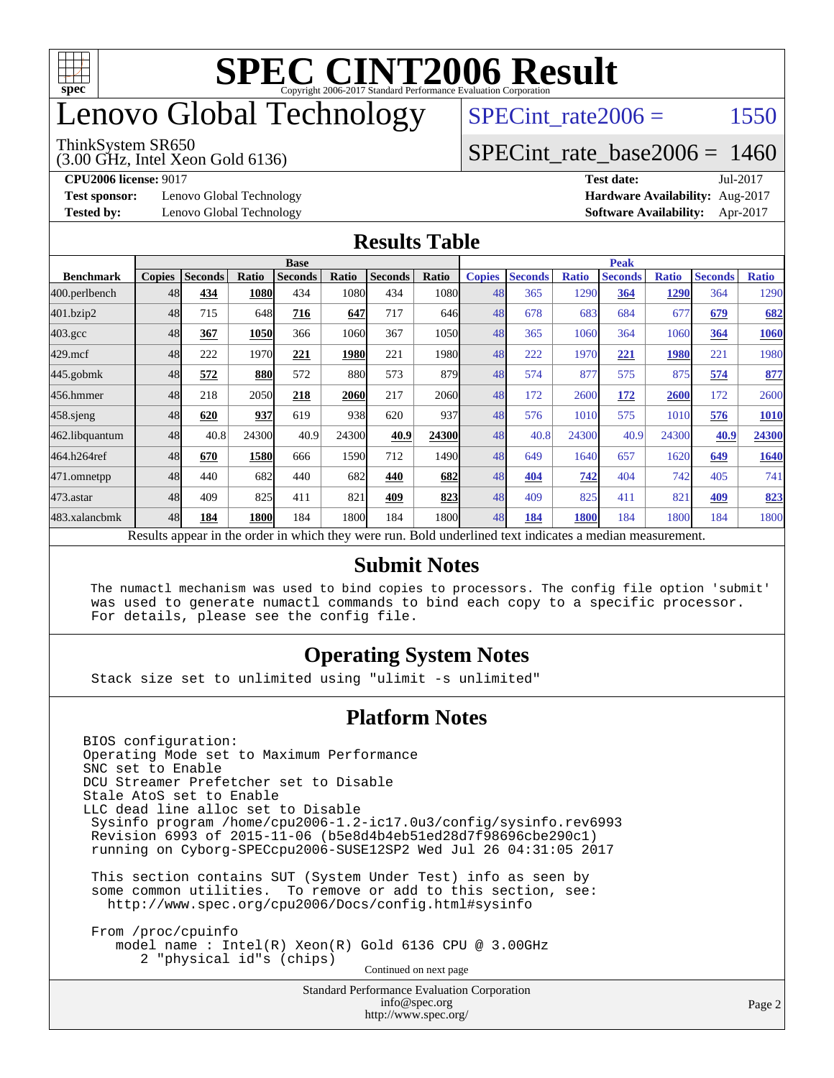

## enovo Global Technology

#### ThinkSystem SR650

(3.00 GHz, Intel Xeon Gold 6136)

SPECint rate $2006 = 1550$ 

#### [SPECint\\_rate\\_base2006 =](http://www.spec.org/auto/cpu2006/Docs/result-fields.html#SPECintratebase2006) 1460

**[CPU2006 license:](http://www.spec.org/auto/cpu2006/Docs/result-fields.html#CPU2006license)** 9017 **[Test date:](http://www.spec.org/auto/cpu2006/Docs/result-fields.html#Testdate)** Jul-2017

**[Test sponsor:](http://www.spec.org/auto/cpu2006/Docs/result-fields.html#Testsponsor)** Lenovo Global Technology **[Hardware Availability:](http://www.spec.org/auto/cpu2006/Docs/result-fields.html#HardwareAvailability)** Aug-2017

**[Tested by:](http://www.spec.org/auto/cpu2006/Docs/result-fields.html#Testedby)** Lenovo Global Technology **[Software Availability:](http://www.spec.org/auto/cpu2006/Docs/result-fields.html#SoftwareAvailability)** Apr-2017

#### **[Results Table](http://www.spec.org/auto/cpu2006/Docs/result-fields.html#ResultsTable)**

|                                                                                                          | <b>Base</b>   |                |       |                |       |                |                   | <b>Peak</b>   |                |              |                |              |                |              |
|----------------------------------------------------------------------------------------------------------|---------------|----------------|-------|----------------|-------|----------------|-------------------|---------------|----------------|--------------|----------------|--------------|----------------|--------------|
| <b>Benchmark</b>                                                                                         | <b>Copies</b> | <b>Seconds</b> | Ratio | <b>Seconds</b> | Ratio | <b>Seconds</b> | <b>Ratio</b>      | <b>Copies</b> | <b>Seconds</b> | <b>Ratio</b> | <b>Seconds</b> | <b>Ratio</b> | <b>Seconds</b> | <b>Ratio</b> |
| 400.perlbench                                                                                            | 48            | 434            | 1080  | 434            | 1080  | 434            | 1080l             | 48            | 365            | 1290         | 364            | 1290         | 364            | 1290         |
| 401.bzip2                                                                                                | 48            | 715            | 648   | 716            | 647   | 717            | 646               | 48            | 678            | 683          | 684            | 677          | 679            | 682          |
| $403.\mathrm{gcc}$                                                                                       | 48            | 367            | 1050  | 366            | 1060  | 367            | 1050l             | 48            | 365            | 1060         | 364            | 1060         | 364            | 1060         |
| $429$ .mcf                                                                                               | 48            | 222            | 1970  | 221            | 1980  | 221            | 1980 <sub>l</sub> | 48            | 222            | 1970         | 221            | 1980         | 221            | 1980         |
| $445$ .gobmk                                                                                             | 48            | 572            | 880   | 572            | 880   | 573            | 879               | 48            | 574            | 877          | 575            | 875          | 574            | 877          |
| 456.hmmer                                                                                                | 48            | 218            | 2050  | 218            | 2060  | 217            | 2060l             | 48            | 172            | 2600         | 172            | 2600         | 172            | 2600         |
| $458$ .sjeng                                                                                             | 48            | 620            | 937   | 619            | 938   | 620            | 937               | 48            | 576            | 1010         | 575            | 1010         | 576            | 1010         |
| 462.libquantum                                                                                           | 48            | 40.8           | 24300 | 40.9           | 24300 | 40.9           | 24300             | 48            | 40.8           | 24300        | 40.9           | 24300        | 40.9           | 24300        |
| 464.h264ref                                                                                              | 48            | 670            | 1580  | 666            | 1590  | 712            | 1490              | 48            | 649            | 1640         | 657            | 1620         | 649            | 1640         |
| 471.omnetpp                                                                                              | 48            | 440            | 682   | 440            | 682   | 440            | 682               | 48            | 404            | 742          | 404            | 742          | 405            | 741          |
| 473.astar                                                                                                | 48            | 409            | 825   | 411            | 821   | 409            | 823               | 48            | 409            | 825          | 411            | 821          | 409            | 823          |
| 483.xalancbmk                                                                                            | 48            | 184            | 1800  | 184            | 1800  | 184            | 1800l             | 48            | 184            | 1800         | 184            | 1800         | 184            | 1800         |
| Results appear in the order in which they were run. Bold underlined text indicates a median measurement. |               |                |       |                |       |                |                   |               |                |              |                |              |                |              |

#### **[Submit Notes](http://www.spec.org/auto/cpu2006/Docs/result-fields.html#SubmitNotes)**

 The numactl mechanism was used to bind copies to processors. The config file option 'submit' was used to generate numactl commands to bind each copy to a specific processor. For details, please see the config file.

#### **[Operating System Notes](http://www.spec.org/auto/cpu2006/Docs/result-fields.html#OperatingSystemNotes)**

Stack size set to unlimited using "ulimit -s unlimited"

#### **[Platform Notes](http://www.spec.org/auto/cpu2006/Docs/result-fields.html#PlatformNotes)**

Standard Performance Evaluation Corporation BIOS configuration: Operating Mode set to Maximum Performance SNC set to Enable DCU Streamer Prefetcher set to Disable Stale AtoS set to Enable LLC dead line alloc set to Disable Sysinfo program /home/cpu2006-1.2-ic17.0u3/config/sysinfo.rev6993 Revision 6993 of 2015-11-06 (b5e8d4b4eb51ed28d7f98696cbe290c1) running on Cyborg-SPECcpu2006-SUSE12SP2 Wed Jul 26 04:31:05 2017 This section contains SUT (System Under Test) info as seen by some common utilities. To remove or add to this section, see: <http://www.spec.org/cpu2006/Docs/config.html#sysinfo> From /proc/cpuinfo model name : Intel(R) Xeon(R) Gold 6136 CPU @ 3.00GHz 2 "physical id"s (chips) Continued on next page

[info@spec.org](mailto:info@spec.org) <http://www.spec.org/>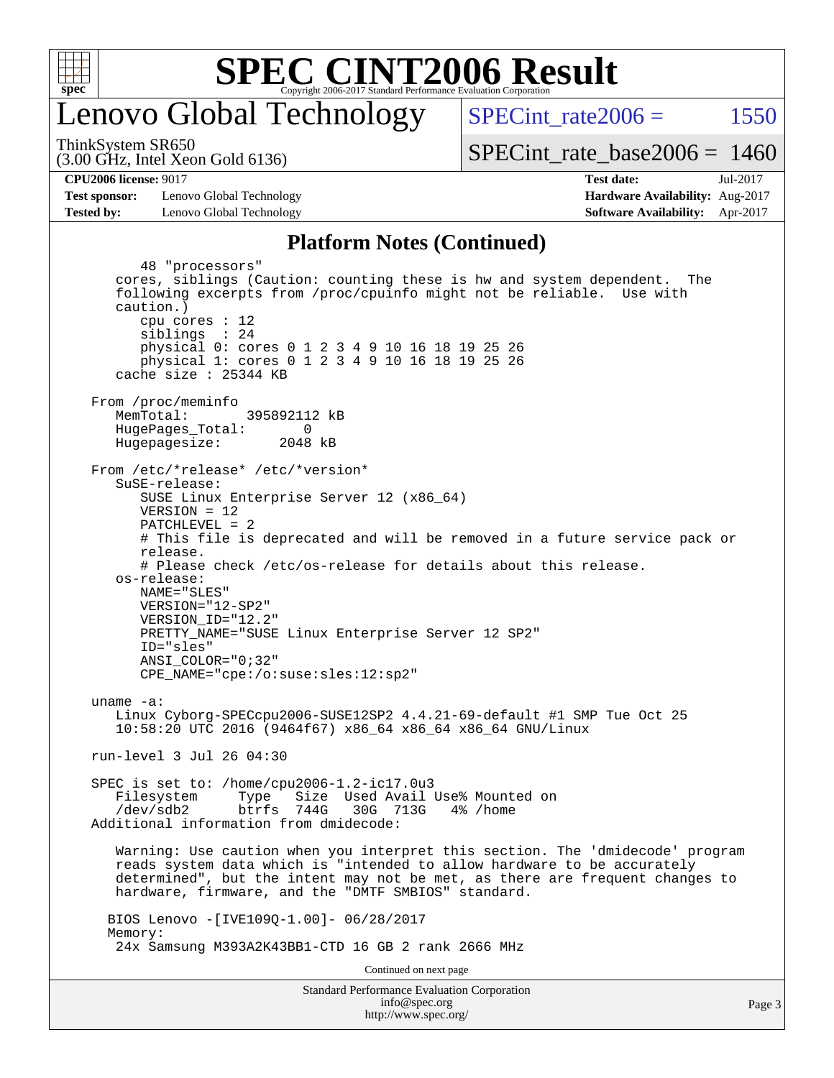

### enovo Global Technology

SPECint rate $2006 = 1550$ 

(3.00 GHz, Intel Xeon Gold 6136) ThinkSystem SR650

[SPECint\\_rate\\_base2006 =](http://www.spec.org/auto/cpu2006/Docs/result-fields.html#SPECintratebase2006) 1460

**[Test sponsor:](http://www.spec.org/auto/cpu2006/Docs/result-fields.html#Testsponsor)** Lenovo Global Technology **[Hardware Availability:](http://www.spec.org/auto/cpu2006/Docs/result-fields.html#HardwareAvailability)** Aug-2017 **[Tested by:](http://www.spec.org/auto/cpu2006/Docs/result-fields.html#Testedby)** Lenovo Global Technology **[Software Availability:](http://www.spec.org/auto/cpu2006/Docs/result-fields.html#SoftwareAvailability)** Apr-2017

**[CPU2006 license:](http://www.spec.org/auto/cpu2006/Docs/result-fields.html#CPU2006license)** 9017 **[Test date:](http://www.spec.org/auto/cpu2006/Docs/result-fields.html#Testdate)** Jul-2017

#### **[Platform Notes \(Continued\)](http://www.spec.org/auto/cpu2006/Docs/result-fields.html#PlatformNotes)**

Standard Performance Evaluation Corporation [info@spec.org](mailto:info@spec.org) Page 3 48 "processors" cores, siblings (Caution: counting these is hw and system dependent. The following excerpts from /proc/cpuinfo might not be reliable. Use with caution.) cpu cores : 12 siblings : 24 physical 0: cores 0 1 2 3 4 9 10 16 18 19 25 26 physical 1: cores 0 1 2 3 4 9 10 16 18 19 25 26 cache size : 25344 KB From /proc/meminfo MemTotal: 395892112 kB HugePages\_Total: 0<br>Hugepagesize: 2048 kB Hugepagesize: From /etc/\*release\* /etc/\*version\* SuSE-release: SUSE Linux Enterprise Server 12 (x86\_64) VERSION = 12 PATCHLEVEL = 2 # This file is deprecated and will be removed in a future service pack or release. # Please check /etc/os-release for details about this release. os-release: NAME="SLES" VERSION="12-SP2" VERSION\_ID="12.2" PRETTY\_NAME="SUSE Linux Enterprise Server 12 SP2" ID="sles" ANSI\_COLOR="0;32" CPE\_NAME="cpe:/o:suse:sles:12:sp2" uname -a: Linux Cyborg-SPECcpu2006-SUSE12SP2 4.4.21-69-default #1 SMP Tue Oct 25 10:58:20 UTC 2016 (9464f67) x86\_64 x86\_64 x86\_64 GNU/Linux run-level 3 Jul 26 04:30 SPEC is set to: /home/cpu2006-1.2-ic17.0u3 Filesystem Type Size Used Avail Use% Mounted on /dev/sdb2 btrfs 744G 30G 713G 4% /home Additional information from dmidecode: Warning: Use caution when you interpret this section. The 'dmidecode' program reads system data which is "intended to allow hardware to be accurately determined", but the intent may not be met, as there are frequent changes to hardware, firmware, and the "DMTF SMBIOS" standard. BIOS Lenovo -[IVE109Q-1.00]- 06/28/2017 Memory: 24x Samsung M393A2K43BB1-CTD 16 GB 2 rank 2666 MHz Continued on next page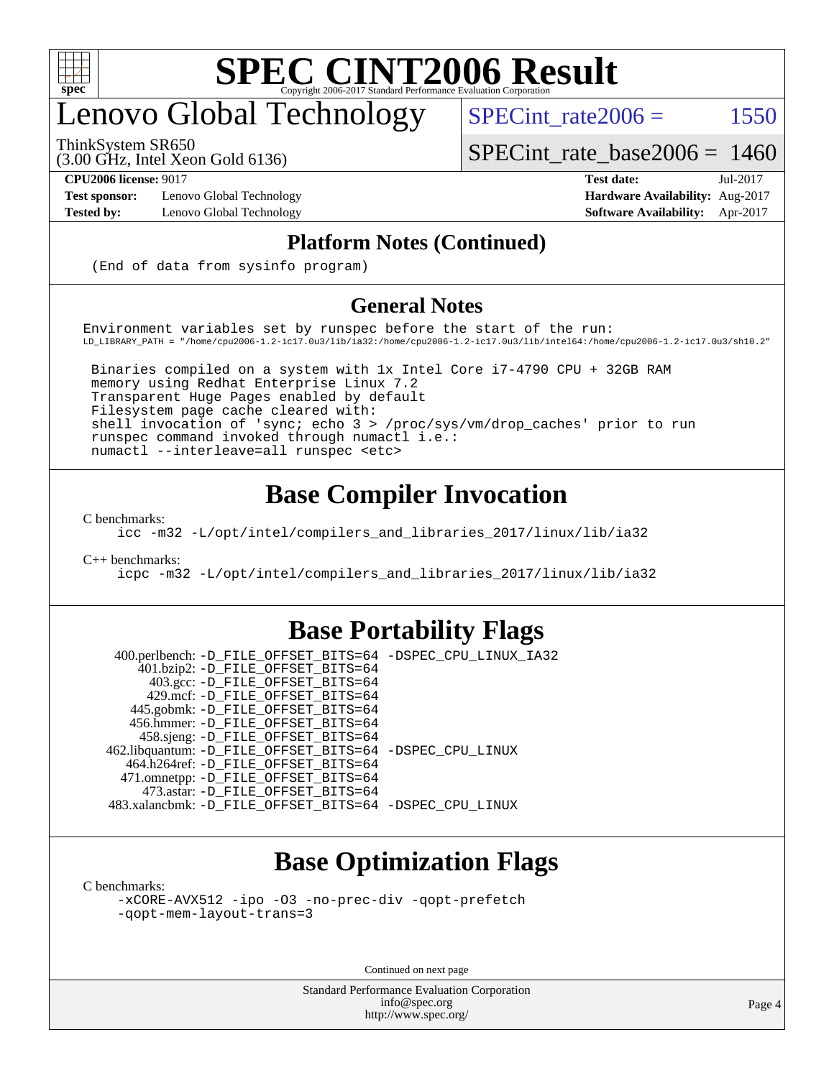

## enovo Global Technology

ThinkSystem SR650

SPECint rate $2006 =$  1550

[SPECint\\_rate\\_base2006 =](http://www.spec.org/auto/cpu2006/Docs/result-fields.html#SPECintratebase2006) 1460

(3.00 GHz, Intel Xeon Gold 6136)

**[CPU2006 license:](http://www.spec.org/auto/cpu2006/Docs/result-fields.html#CPU2006license)** 9017 **[Test date:](http://www.spec.org/auto/cpu2006/Docs/result-fields.html#Testdate)** Jul-2017 **[Test sponsor:](http://www.spec.org/auto/cpu2006/Docs/result-fields.html#Testsponsor)** Lenovo Global Technology **[Hardware Availability:](http://www.spec.org/auto/cpu2006/Docs/result-fields.html#HardwareAvailability)** Aug-2017 **[Tested by:](http://www.spec.org/auto/cpu2006/Docs/result-fields.html#Testedby)** Lenovo Global Technology **[Software Availability:](http://www.spec.org/auto/cpu2006/Docs/result-fields.html#SoftwareAvailability)** Apr-2017

#### **[Platform Notes \(Continued\)](http://www.spec.org/auto/cpu2006/Docs/result-fields.html#PlatformNotes)**

(End of data from sysinfo program)

#### **[General Notes](http://www.spec.org/auto/cpu2006/Docs/result-fields.html#GeneralNotes)**

Environment variables set by runspec before the start of the run: LD\_LIBRARY\_PATH = "/home/cpu2006-1.2-ic17.0u3/lib/ia32:/home/cpu2006-1.2-ic17.0u3/lib/intel64:/home/cpu2006-1.2-ic17.0u3/sh10.2"

 Binaries compiled on a system with 1x Intel Core i7-4790 CPU + 32GB RAM memory using Redhat Enterprise Linux 7.2 Transparent Huge Pages enabled by default Filesystem page cache cleared with: shell invocation of 'sync; echo 3 > /proc/sys/vm/drop\_caches' prior to run runspec command invoked through numactl i.e.: numactl --interleave=all runspec <etc>

### **[Base Compiler Invocation](http://www.spec.org/auto/cpu2006/Docs/result-fields.html#BaseCompilerInvocation)**

[C benchmarks](http://www.spec.org/auto/cpu2006/Docs/result-fields.html#Cbenchmarks):

[icc -m32 -L/opt/intel/compilers\\_and\\_libraries\\_2017/linux/lib/ia32](http://www.spec.org/cpu2006/results/res2017q4/cpu2006-20170918-49739.flags.html#user_CCbase_intel_icc_c29f3ff5a7ed067b11e4ec10a03f03ae)

[C++ benchmarks:](http://www.spec.org/auto/cpu2006/Docs/result-fields.html#CXXbenchmarks)

[icpc -m32 -L/opt/intel/compilers\\_and\\_libraries\\_2017/linux/lib/ia32](http://www.spec.org/cpu2006/results/res2017q4/cpu2006-20170918-49739.flags.html#user_CXXbase_intel_icpc_8c35c7808b62dab9ae41a1aa06361b6b)

#### **[Base Portability Flags](http://www.spec.org/auto/cpu2006/Docs/result-fields.html#BasePortabilityFlags)**

 400.perlbench: [-D\\_FILE\\_OFFSET\\_BITS=64](http://www.spec.org/cpu2006/results/res2017q4/cpu2006-20170918-49739.flags.html#user_basePORTABILITY400_perlbench_file_offset_bits_64_438cf9856305ebd76870a2c6dc2689ab) [-DSPEC\\_CPU\\_LINUX\\_IA32](http://www.spec.org/cpu2006/results/res2017q4/cpu2006-20170918-49739.flags.html#b400.perlbench_baseCPORTABILITY_DSPEC_CPU_LINUX_IA32) 401.bzip2: [-D\\_FILE\\_OFFSET\\_BITS=64](http://www.spec.org/cpu2006/results/res2017q4/cpu2006-20170918-49739.flags.html#user_basePORTABILITY401_bzip2_file_offset_bits_64_438cf9856305ebd76870a2c6dc2689ab) 403.gcc: [-D\\_FILE\\_OFFSET\\_BITS=64](http://www.spec.org/cpu2006/results/res2017q4/cpu2006-20170918-49739.flags.html#user_basePORTABILITY403_gcc_file_offset_bits_64_438cf9856305ebd76870a2c6dc2689ab) 429.mcf: [-D\\_FILE\\_OFFSET\\_BITS=64](http://www.spec.org/cpu2006/results/res2017q4/cpu2006-20170918-49739.flags.html#user_basePORTABILITY429_mcf_file_offset_bits_64_438cf9856305ebd76870a2c6dc2689ab) 445.gobmk: [-D\\_FILE\\_OFFSET\\_BITS=64](http://www.spec.org/cpu2006/results/res2017q4/cpu2006-20170918-49739.flags.html#user_basePORTABILITY445_gobmk_file_offset_bits_64_438cf9856305ebd76870a2c6dc2689ab) 456.hmmer: [-D\\_FILE\\_OFFSET\\_BITS=64](http://www.spec.org/cpu2006/results/res2017q4/cpu2006-20170918-49739.flags.html#user_basePORTABILITY456_hmmer_file_offset_bits_64_438cf9856305ebd76870a2c6dc2689ab) 458.sjeng: [-D\\_FILE\\_OFFSET\\_BITS=64](http://www.spec.org/cpu2006/results/res2017q4/cpu2006-20170918-49739.flags.html#user_basePORTABILITY458_sjeng_file_offset_bits_64_438cf9856305ebd76870a2c6dc2689ab) 462.libquantum: [-D\\_FILE\\_OFFSET\\_BITS=64](http://www.spec.org/cpu2006/results/res2017q4/cpu2006-20170918-49739.flags.html#user_basePORTABILITY462_libquantum_file_offset_bits_64_438cf9856305ebd76870a2c6dc2689ab) [-DSPEC\\_CPU\\_LINUX](http://www.spec.org/cpu2006/results/res2017q4/cpu2006-20170918-49739.flags.html#b462.libquantum_baseCPORTABILITY_DSPEC_CPU_LINUX) 464.h264ref: [-D\\_FILE\\_OFFSET\\_BITS=64](http://www.spec.org/cpu2006/results/res2017q4/cpu2006-20170918-49739.flags.html#user_basePORTABILITY464_h264ref_file_offset_bits_64_438cf9856305ebd76870a2c6dc2689ab) 471.omnetpp: [-D\\_FILE\\_OFFSET\\_BITS=64](http://www.spec.org/cpu2006/results/res2017q4/cpu2006-20170918-49739.flags.html#user_basePORTABILITY471_omnetpp_file_offset_bits_64_438cf9856305ebd76870a2c6dc2689ab) 473.astar: [-D\\_FILE\\_OFFSET\\_BITS=64](http://www.spec.org/cpu2006/results/res2017q4/cpu2006-20170918-49739.flags.html#user_basePORTABILITY473_astar_file_offset_bits_64_438cf9856305ebd76870a2c6dc2689ab) 483.xalancbmk: [-D\\_FILE\\_OFFSET\\_BITS=64](http://www.spec.org/cpu2006/results/res2017q4/cpu2006-20170918-49739.flags.html#user_basePORTABILITY483_xalancbmk_file_offset_bits_64_438cf9856305ebd76870a2c6dc2689ab) [-DSPEC\\_CPU\\_LINUX](http://www.spec.org/cpu2006/results/res2017q4/cpu2006-20170918-49739.flags.html#b483.xalancbmk_baseCXXPORTABILITY_DSPEC_CPU_LINUX)

### **[Base Optimization Flags](http://www.spec.org/auto/cpu2006/Docs/result-fields.html#BaseOptimizationFlags)**

[C benchmarks](http://www.spec.org/auto/cpu2006/Docs/result-fields.html#Cbenchmarks):

[-xCORE-AVX512](http://www.spec.org/cpu2006/results/res2017q4/cpu2006-20170918-49739.flags.html#user_CCbase_f-xCORE-AVX512) [-ipo](http://www.spec.org/cpu2006/results/res2017q4/cpu2006-20170918-49739.flags.html#user_CCbase_f-ipo) [-O3](http://www.spec.org/cpu2006/results/res2017q4/cpu2006-20170918-49739.flags.html#user_CCbase_f-O3) [-no-prec-div](http://www.spec.org/cpu2006/results/res2017q4/cpu2006-20170918-49739.flags.html#user_CCbase_f-no-prec-div) [-qopt-prefetch](http://www.spec.org/cpu2006/results/res2017q4/cpu2006-20170918-49739.flags.html#user_CCbase_f-qopt-prefetch) [-qopt-mem-layout-trans=3](http://www.spec.org/cpu2006/results/res2017q4/cpu2006-20170918-49739.flags.html#user_CCbase_f-qopt-mem-layout-trans_170f5be61cd2cedc9b54468c59262d5d)

Continued on next page

Standard Performance Evaluation Corporation [info@spec.org](mailto:info@spec.org) <http://www.spec.org/>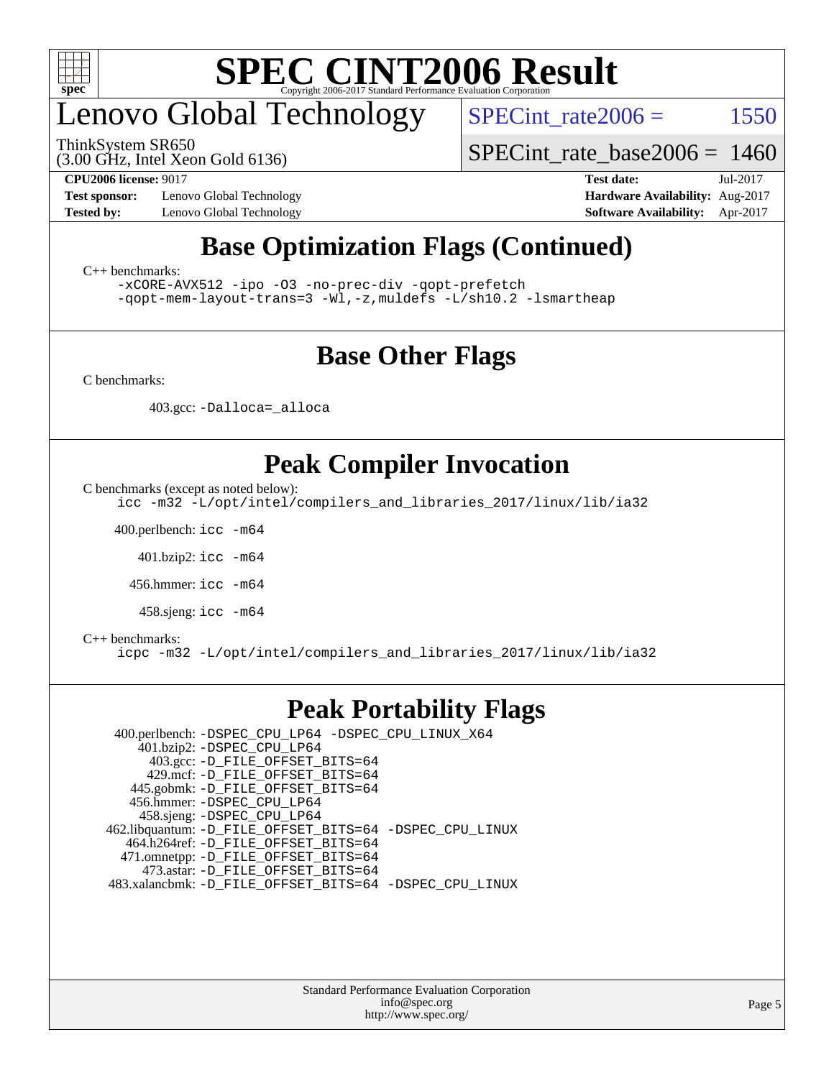

## enovo Global Technology

ThinkSystem SR650

SPECint rate $2006 =$  1550

(3.00 GHz, Intel Xeon Gold 6136)

[SPECint\\_rate\\_base2006 =](http://www.spec.org/auto/cpu2006/Docs/result-fields.html#SPECintratebase2006) 1460

**[Test sponsor:](http://www.spec.org/auto/cpu2006/Docs/result-fields.html#Testsponsor)** Lenovo Global Technology **[Hardware Availability:](http://www.spec.org/auto/cpu2006/Docs/result-fields.html#HardwareAvailability)** Aug-2017

**[CPU2006 license:](http://www.spec.org/auto/cpu2006/Docs/result-fields.html#CPU2006license)** 9017 **[Test date:](http://www.spec.org/auto/cpu2006/Docs/result-fields.html#Testdate)** Jul-2017 **[Tested by:](http://www.spec.org/auto/cpu2006/Docs/result-fields.html#Testedby)** Lenovo Global Technology **[Software Availability:](http://www.spec.org/auto/cpu2006/Docs/result-fields.html#SoftwareAvailability)** Apr-2017

### **[Base Optimization Flags \(Continued\)](http://www.spec.org/auto/cpu2006/Docs/result-fields.html#BaseOptimizationFlags)**

[C++ benchmarks:](http://www.spec.org/auto/cpu2006/Docs/result-fields.html#CXXbenchmarks)

[-xCORE-AVX512](http://www.spec.org/cpu2006/results/res2017q4/cpu2006-20170918-49739.flags.html#user_CXXbase_f-xCORE-AVX512) [-ipo](http://www.spec.org/cpu2006/results/res2017q4/cpu2006-20170918-49739.flags.html#user_CXXbase_f-ipo) [-O3](http://www.spec.org/cpu2006/results/res2017q4/cpu2006-20170918-49739.flags.html#user_CXXbase_f-O3) [-no-prec-div](http://www.spec.org/cpu2006/results/res2017q4/cpu2006-20170918-49739.flags.html#user_CXXbase_f-no-prec-div) [-qopt-prefetch](http://www.spec.org/cpu2006/results/res2017q4/cpu2006-20170918-49739.flags.html#user_CXXbase_f-qopt-prefetch) [-qopt-mem-layout-trans=3](http://www.spec.org/cpu2006/results/res2017q4/cpu2006-20170918-49739.flags.html#user_CXXbase_f-qopt-mem-layout-trans_170f5be61cd2cedc9b54468c59262d5d) [-Wl,-z,muldefs](http://www.spec.org/cpu2006/results/res2017q4/cpu2006-20170918-49739.flags.html#user_CXXbase_link_force_multiple1_74079c344b956b9658436fd1b6dd3a8a) [-L/sh10.2 -lsmartheap](http://www.spec.org/cpu2006/results/res2017q4/cpu2006-20170918-49739.flags.html#user_CXXbase_SmartHeap_b831f2d313e2fffa6dfe3f00ffc1f1c0)

### **[Base Other Flags](http://www.spec.org/auto/cpu2006/Docs/result-fields.html#BaseOtherFlags)**

[C benchmarks](http://www.spec.org/auto/cpu2006/Docs/result-fields.html#Cbenchmarks):

403.gcc: [-Dalloca=\\_alloca](http://www.spec.org/cpu2006/results/res2017q4/cpu2006-20170918-49739.flags.html#b403.gcc_baseEXTRA_CFLAGS_Dalloca_be3056838c12de2578596ca5467af7f3)

### **[Peak Compiler Invocation](http://www.spec.org/auto/cpu2006/Docs/result-fields.html#PeakCompilerInvocation)**

[C benchmarks \(except as noted below\)](http://www.spec.org/auto/cpu2006/Docs/result-fields.html#Cbenchmarksexceptasnotedbelow):

[icc -m32 -L/opt/intel/compilers\\_and\\_libraries\\_2017/linux/lib/ia32](http://www.spec.org/cpu2006/results/res2017q4/cpu2006-20170918-49739.flags.html#user_CCpeak_intel_icc_c29f3ff5a7ed067b11e4ec10a03f03ae)

400.perlbench: [icc -m64](http://www.spec.org/cpu2006/results/res2017q4/cpu2006-20170918-49739.flags.html#user_peakCCLD400_perlbench_intel_icc_64bit_bda6cc9af1fdbb0edc3795bac97ada53)

401.bzip2: [icc -m64](http://www.spec.org/cpu2006/results/res2017q4/cpu2006-20170918-49739.flags.html#user_peakCCLD401_bzip2_intel_icc_64bit_bda6cc9af1fdbb0edc3795bac97ada53)

456.hmmer: [icc -m64](http://www.spec.org/cpu2006/results/res2017q4/cpu2006-20170918-49739.flags.html#user_peakCCLD456_hmmer_intel_icc_64bit_bda6cc9af1fdbb0edc3795bac97ada53)

458.sjeng: [icc -m64](http://www.spec.org/cpu2006/results/res2017q4/cpu2006-20170918-49739.flags.html#user_peakCCLD458_sjeng_intel_icc_64bit_bda6cc9af1fdbb0edc3795bac97ada53)

#### [C++ benchmarks:](http://www.spec.org/auto/cpu2006/Docs/result-fields.html#CXXbenchmarks)

[icpc -m32 -L/opt/intel/compilers\\_and\\_libraries\\_2017/linux/lib/ia32](http://www.spec.org/cpu2006/results/res2017q4/cpu2006-20170918-49739.flags.html#user_CXXpeak_intel_icpc_8c35c7808b62dab9ae41a1aa06361b6b)

### **[Peak Portability Flags](http://www.spec.org/auto/cpu2006/Docs/result-fields.html#PeakPortabilityFlags)**

 400.perlbench: [-DSPEC\\_CPU\\_LP64](http://www.spec.org/cpu2006/results/res2017q4/cpu2006-20170918-49739.flags.html#b400.perlbench_peakCPORTABILITY_DSPEC_CPU_LP64) [-DSPEC\\_CPU\\_LINUX\\_X64](http://www.spec.org/cpu2006/results/res2017q4/cpu2006-20170918-49739.flags.html#b400.perlbench_peakCPORTABILITY_DSPEC_CPU_LINUX_X64) 401.bzip2: [-DSPEC\\_CPU\\_LP64](http://www.spec.org/cpu2006/results/res2017q4/cpu2006-20170918-49739.flags.html#suite_peakCPORTABILITY401_bzip2_DSPEC_CPU_LP64) 403.gcc: [-D\\_FILE\\_OFFSET\\_BITS=64](http://www.spec.org/cpu2006/results/res2017q4/cpu2006-20170918-49739.flags.html#user_peakPORTABILITY403_gcc_file_offset_bits_64_438cf9856305ebd76870a2c6dc2689ab) 429.mcf: [-D\\_FILE\\_OFFSET\\_BITS=64](http://www.spec.org/cpu2006/results/res2017q4/cpu2006-20170918-49739.flags.html#user_peakPORTABILITY429_mcf_file_offset_bits_64_438cf9856305ebd76870a2c6dc2689ab) 445.gobmk: [-D\\_FILE\\_OFFSET\\_BITS=64](http://www.spec.org/cpu2006/results/res2017q4/cpu2006-20170918-49739.flags.html#user_peakPORTABILITY445_gobmk_file_offset_bits_64_438cf9856305ebd76870a2c6dc2689ab) 456.hmmer: [-DSPEC\\_CPU\\_LP64](http://www.spec.org/cpu2006/results/res2017q4/cpu2006-20170918-49739.flags.html#suite_peakCPORTABILITY456_hmmer_DSPEC_CPU_LP64) 458.sjeng: [-DSPEC\\_CPU\\_LP64](http://www.spec.org/cpu2006/results/res2017q4/cpu2006-20170918-49739.flags.html#suite_peakCPORTABILITY458_sjeng_DSPEC_CPU_LP64) 462.libquantum: [-D\\_FILE\\_OFFSET\\_BITS=64](http://www.spec.org/cpu2006/results/res2017q4/cpu2006-20170918-49739.flags.html#user_peakPORTABILITY462_libquantum_file_offset_bits_64_438cf9856305ebd76870a2c6dc2689ab) [-DSPEC\\_CPU\\_LINUX](http://www.spec.org/cpu2006/results/res2017q4/cpu2006-20170918-49739.flags.html#b462.libquantum_peakCPORTABILITY_DSPEC_CPU_LINUX) 464.h264ref: [-D\\_FILE\\_OFFSET\\_BITS=64](http://www.spec.org/cpu2006/results/res2017q4/cpu2006-20170918-49739.flags.html#user_peakPORTABILITY464_h264ref_file_offset_bits_64_438cf9856305ebd76870a2c6dc2689ab) 471.omnetpp: [-D\\_FILE\\_OFFSET\\_BITS=64](http://www.spec.org/cpu2006/results/res2017q4/cpu2006-20170918-49739.flags.html#user_peakPORTABILITY471_omnetpp_file_offset_bits_64_438cf9856305ebd76870a2c6dc2689ab) 473.astar: [-D\\_FILE\\_OFFSET\\_BITS=64](http://www.spec.org/cpu2006/results/res2017q4/cpu2006-20170918-49739.flags.html#user_peakPORTABILITY473_astar_file_offset_bits_64_438cf9856305ebd76870a2c6dc2689ab) 483.xalancbmk: [-D\\_FILE\\_OFFSET\\_BITS=64](http://www.spec.org/cpu2006/results/res2017q4/cpu2006-20170918-49739.flags.html#user_peakPORTABILITY483_xalancbmk_file_offset_bits_64_438cf9856305ebd76870a2c6dc2689ab) [-DSPEC\\_CPU\\_LINUX](http://www.spec.org/cpu2006/results/res2017q4/cpu2006-20170918-49739.flags.html#b483.xalancbmk_peakCXXPORTABILITY_DSPEC_CPU_LINUX)

> Standard Performance Evaluation Corporation [info@spec.org](mailto:info@spec.org) <http://www.spec.org/>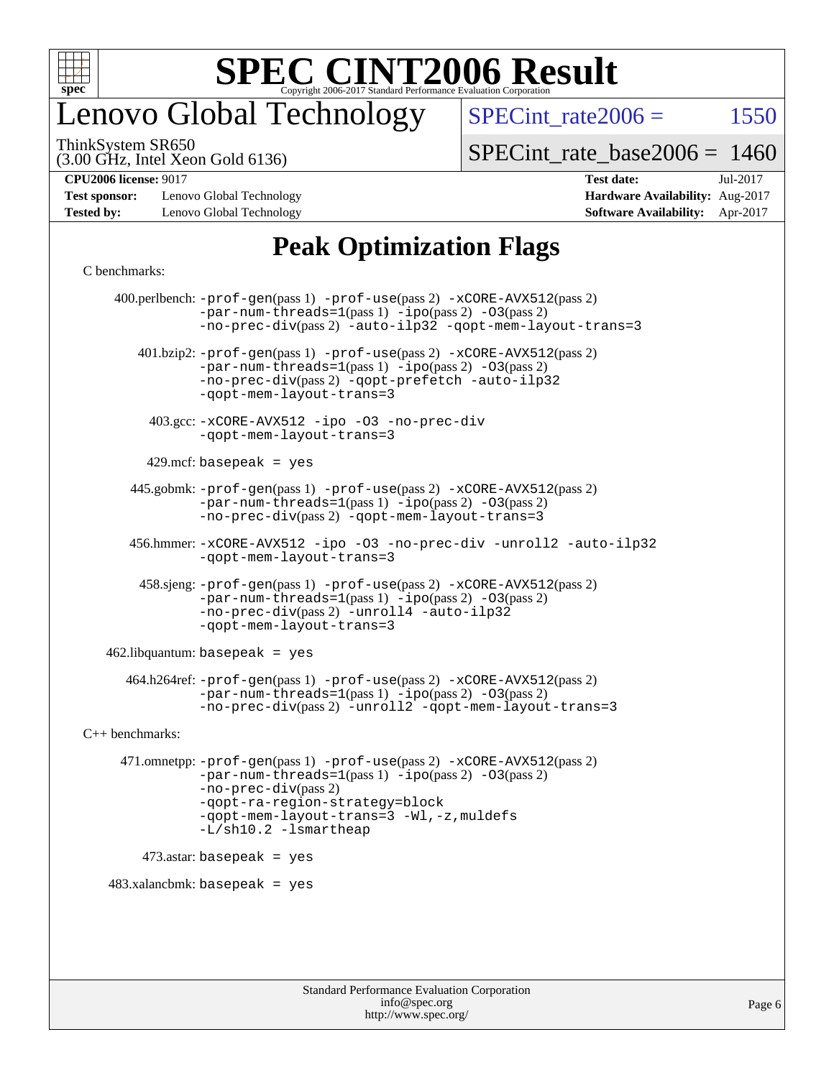

## enovo Global Technology

SPECint rate $2006 =$  1550

(3.00 GHz, Intel Xeon Gold 6136) ThinkSystem SR650

[SPECint\\_rate\\_base2006 =](http://www.spec.org/auto/cpu2006/Docs/result-fields.html#SPECintratebase2006) 1460

**[Test sponsor:](http://www.spec.org/auto/cpu2006/Docs/result-fields.html#Testsponsor)** Lenovo Global Technology **[Hardware Availability:](http://www.spec.org/auto/cpu2006/Docs/result-fields.html#HardwareAvailability)** Aug-2017 **[Tested by:](http://www.spec.org/auto/cpu2006/Docs/result-fields.html#Testedby)** Lenovo Global Technology **[Software Availability:](http://www.spec.org/auto/cpu2006/Docs/result-fields.html#SoftwareAvailability)** Apr-2017

## **[CPU2006 license:](http://www.spec.org/auto/cpu2006/Docs/result-fields.html#CPU2006license)** 9017 **[Test date:](http://www.spec.org/auto/cpu2006/Docs/result-fields.html#Testdate)** Jul-2017

### **[Peak Optimization Flags](http://www.spec.org/auto/cpu2006/Docs/result-fields.html#PeakOptimizationFlags)**

#### [C benchmarks](http://www.spec.org/auto/cpu2006/Docs/result-fields.html#Cbenchmarks):

 400.perlbench: [-prof-gen](http://www.spec.org/cpu2006/results/res2017q4/cpu2006-20170918-49739.flags.html#user_peakPASS1_CFLAGSPASS1_LDCFLAGS400_perlbench_prof_gen_e43856698f6ca7b7e442dfd80e94a8fc)(pass 1) [-prof-use](http://www.spec.org/cpu2006/results/res2017q4/cpu2006-20170918-49739.flags.html#user_peakPASS2_CFLAGSPASS2_LDCFLAGS400_perlbench_prof_use_bccf7792157ff70d64e32fe3e1250b55)(pass 2) [-xCORE-AVX512](http://www.spec.org/cpu2006/results/res2017q4/cpu2006-20170918-49739.flags.html#user_peakPASS2_CFLAGSPASS2_LDCFLAGS400_perlbench_f-xCORE-AVX512)(pass 2)  $-par-num-threads=1(pass 1) -ipo(pass 2) -O3(pass 2)$  $-par-num-threads=1(pass 1) -ipo(pass 2) -O3(pass 2)$  $-par-num-threads=1(pass 1) -ipo(pass 2) -O3(pass 2)$  $-par-num-threads=1(pass 1) -ipo(pass 2) -O3(pass 2)$  $-par-num-threads=1(pass 1) -ipo(pass 2) -O3(pass 2)$  $-par-num-threads=1(pass 1) -ipo(pass 2) -O3(pass 2)$ [-no-prec-div](http://www.spec.org/cpu2006/results/res2017q4/cpu2006-20170918-49739.flags.html#user_peakPASS2_CFLAGSPASS2_LDCFLAGS400_perlbench_f-no-prec-div)(pass 2) [-auto-ilp32](http://www.spec.org/cpu2006/results/res2017q4/cpu2006-20170918-49739.flags.html#user_peakCOPTIMIZE400_perlbench_f-auto-ilp32) [-qopt-mem-layout-trans=3](http://www.spec.org/cpu2006/results/res2017q4/cpu2006-20170918-49739.flags.html#user_peakCOPTIMIZE400_perlbench_f-qopt-mem-layout-trans_170f5be61cd2cedc9b54468c59262d5d) 401.bzip2: [-prof-gen](http://www.spec.org/cpu2006/results/res2017q4/cpu2006-20170918-49739.flags.html#user_peakPASS1_CFLAGSPASS1_LDCFLAGS401_bzip2_prof_gen_e43856698f6ca7b7e442dfd80e94a8fc)(pass 1) [-prof-use](http://www.spec.org/cpu2006/results/res2017q4/cpu2006-20170918-49739.flags.html#user_peakPASS2_CFLAGSPASS2_LDCFLAGS401_bzip2_prof_use_bccf7792157ff70d64e32fe3e1250b55)(pass 2) [-xCORE-AVX512](http://www.spec.org/cpu2006/results/res2017q4/cpu2006-20170918-49739.flags.html#user_peakPASS2_CFLAGSPASS2_LDCFLAGS401_bzip2_f-xCORE-AVX512)(pass 2) [-par-num-threads=1](http://www.spec.org/cpu2006/results/res2017q4/cpu2006-20170918-49739.flags.html#user_peakPASS1_CFLAGSPASS1_LDCFLAGS401_bzip2_par_num_threads_786a6ff141b4e9e90432e998842df6c2)(pass 1) [-ipo](http://www.spec.org/cpu2006/results/res2017q4/cpu2006-20170918-49739.flags.html#user_peakPASS2_CFLAGSPASS2_LDCFLAGS401_bzip2_f-ipo)(pass 2) [-O3](http://www.spec.org/cpu2006/results/res2017q4/cpu2006-20170918-49739.flags.html#user_peakPASS2_CFLAGSPASS2_LDCFLAGS401_bzip2_f-O3)(pass 2) [-no-prec-div](http://www.spec.org/cpu2006/results/res2017q4/cpu2006-20170918-49739.flags.html#user_peakPASS2_CFLAGSPASS2_LDCFLAGS401_bzip2_f-no-prec-div)(pass 2) [-qopt-prefetch](http://www.spec.org/cpu2006/results/res2017q4/cpu2006-20170918-49739.flags.html#user_peakCOPTIMIZE401_bzip2_f-qopt-prefetch) [-auto-ilp32](http://www.spec.org/cpu2006/results/res2017q4/cpu2006-20170918-49739.flags.html#user_peakCOPTIMIZE401_bzip2_f-auto-ilp32) [-qopt-mem-layout-trans=3](http://www.spec.org/cpu2006/results/res2017q4/cpu2006-20170918-49739.flags.html#user_peakCOPTIMIZE401_bzip2_f-qopt-mem-layout-trans_170f5be61cd2cedc9b54468c59262d5d) 403.gcc: [-xCORE-AVX512](http://www.spec.org/cpu2006/results/res2017q4/cpu2006-20170918-49739.flags.html#user_peakOPTIMIZE403_gcc_f-xCORE-AVX512) [-ipo](http://www.spec.org/cpu2006/results/res2017q4/cpu2006-20170918-49739.flags.html#user_peakOPTIMIZE403_gcc_f-ipo) [-O3](http://www.spec.org/cpu2006/results/res2017q4/cpu2006-20170918-49739.flags.html#user_peakOPTIMIZE403_gcc_f-O3) [-no-prec-div](http://www.spec.org/cpu2006/results/res2017q4/cpu2006-20170918-49739.flags.html#user_peakOPTIMIZE403_gcc_f-no-prec-div) [-qopt-mem-layout-trans=3](http://www.spec.org/cpu2006/results/res2017q4/cpu2006-20170918-49739.flags.html#user_peakCOPTIMIZE403_gcc_f-qopt-mem-layout-trans_170f5be61cd2cedc9b54468c59262d5d)  $429$ .mcf: basepeak = yes 445.gobmk: [-prof-gen](http://www.spec.org/cpu2006/results/res2017q4/cpu2006-20170918-49739.flags.html#user_peakPASS1_CFLAGSPASS1_LDCFLAGS445_gobmk_prof_gen_e43856698f6ca7b7e442dfd80e94a8fc)(pass 1) [-prof-use](http://www.spec.org/cpu2006/results/res2017q4/cpu2006-20170918-49739.flags.html#user_peakPASS2_CFLAGSPASS2_LDCFLAGSPASS2_LDFLAGS445_gobmk_prof_use_bccf7792157ff70d64e32fe3e1250b55)(pass 2) [-xCORE-AVX512](http://www.spec.org/cpu2006/results/res2017q4/cpu2006-20170918-49739.flags.html#user_peakPASS2_CFLAGSPASS2_LDCFLAGSPASS2_LDFLAGS445_gobmk_f-xCORE-AVX512)(pass 2) [-par-num-threads=1](http://www.spec.org/cpu2006/results/res2017q4/cpu2006-20170918-49739.flags.html#user_peakPASS1_CFLAGSPASS1_LDCFLAGS445_gobmk_par_num_threads_786a6ff141b4e9e90432e998842df6c2)(pass 1) [-ipo](http://www.spec.org/cpu2006/results/res2017q4/cpu2006-20170918-49739.flags.html#user_peakPASS2_LDCFLAGS445_gobmk_f-ipo)(pass 2) [-O3](http://www.spec.org/cpu2006/results/res2017q4/cpu2006-20170918-49739.flags.html#user_peakPASS2_LDCFLAGS445_gobmk_f-O3)(pass 2) [-no-prec-div](http://www.spec.org/cpu2006/results/res2017q4/cpu2006-20170918-49739.flags.html#user_peakPASS2_LDCFLAGS445_gobmk_f-no-prec-div)(pass 2) [-qopt-mem-layout-trans=3](http://www.spec.org/cpu2006/results/res2017q4/cpu2006-20170918-49739.flags.html#user_peakCOPTIMIZE445_gobmk_f-qopt-mem-layout-trans_170f5be61cd2cedc9b54468c59262d5d) 456.hmmer: [-xCORE-AVX512](http://www.spec.org/cpu2006/results/res2017q4/cpu2006-20170918-49739.flags.html#user_peakOPTIMIZE456_hmmer_f-xCORE-AVX512) [-ipo](http://www.spec.org/cpu2006/results/res2017q4/cpu2006-20170918-49739.flags.html#user_peakOPTIMIZE456_hmmer_f-ipo) [-O3](http://www.spec.org/cpu2006/results/res2017q4/cpu2006-20170918-49739.flags.html#user_peakOPTIMIZE456_hmmer_f-O3) [-no-prec-div](http://www.spec.org/cpu2006/results/res2017q4/cpu2006-20170918-49739.flags.html#user_peakOPTIMIZE456_hmmer_f-no-prec-div) [-unroll2](http://www.spec.org/cpu2006/results/res2017q4/cpu2006-20170918-49739.flags.html#user_peakCOPTIMIZE456_hmmer_f-unroll_784dae83bebfb236979b41d2422d7ec2) [-auto-ilp32](http://www.spec.org/cpu2006/results/res2017q4/cpu2006-20170918-49739.flags.html#user_peakCOPTIMIZE456_hmmer_f-auto-ilp32) [-qopt-mem-layout-trans=3](http://www.spec.org/cpu2006/results/res2017q4/cpu2006-20170918-49739.flags.html#user_peakCOPTIMIZE456_hmmer_f-qopt-mem-layout-trans_170f5be61cd2cedc9b54468c59262d5d) 458.sjeng: [-prof-gen](http://www.spec.org/cpu2006/results/res2017q4/cpu2006-20170918-49739.flags.html#user_peakPASS1_CFLAGSPASS1_LDCFLAGS458_sjeng_prof_gen_e43856698f6ca7b7e442dfd80e94a8fc)(pass 1) [-prof-use](http://www.spec.org/cpu2006/results/res2017q4/cpu2006-20170918-49739.flags.html#user_peakPASS2_CFLAGSPASS2_LDCFLAGS458_sjeng_prof_use_bccf7792157ff70d64e32fe3e1250b55)(pass 2) [-xCORE-AVX512](http://www.spec.org/cpu2006/results/res2017q4/cpu2006-20170918-49739.flags.html#user_peakPASS2_CFLAGSPASS2_LDCFLAGS458_sjeng_f-xCORE-AVX512)(pass 2) [-par-num-threads=1](http://www.spec.org/cpu2006/results/res2017q4/cpu2006-20170918-49739.flags.html#user_peakPASS1_CFLAGSPASS1_LDCFLAGS458_sjeng_par_num_threads_786a6ff141b4e9e90432e998842df6c2)(pass 1) [-ipo](http://www.spec.org/cpu2006/results/res2017q4/cpu2006-20170918-49739.flags.html#user_peakPASS2_CFLAGSPASS2_LDCFLAGS458_sjeng_f-ipo)(pass 2) [-O3](http://www.spec.org/cpu2006/results/res2017q4/cpu2006-20170918-49739.flags.html#user_peakPASS2_CFLAGSPASS2_LDCFLAGS458_sjeng_f-O3)(pass 2) [-no-prec-div](http://www.spec.org/cpu2006/results/res2017q4/cpu2006-20170918-49739.flags.html#user_peakPASS2_CFLAGSPASS2_LDCFLAGS458_sjeng_f-no-prec-div)(pass 2) [-unroll4](http://www.spec.org/cpu2006/results/res2017q4/cpu2006-20170918-49739.flags.html#user_peakCOPTIMIZE458_sjeng_f-unroll_4e5e4ed65b7fd20bdcd365bec371b81f) [-auto-ilp32](http://www.spec.org/cpu2006/results/res2017q4/cpu2006-20170918-49739.flags.html#user_peakCOPTIMIZE458_sjeng_f-auto-ilp32) [-qopt-mem-layout-trans=3](http://www.spec.org/cpu2006/results/res2017q4/cpu2006-20170918-49739.flags.html#user_peakCOPTIMIZE458_sjeng_f-qopt-mem-layout-trans_170f5be61cd2cedc9b54468c59262d5d)  $462$ .libquantum: basepeak = yes 464.h264ref: [-prof-gen](http://www.spec.org/cpu2006/results/res2017q4/cpu2006-20170918-49739.flags.html#user_peakPASS1_CFLAGSPASS1_LDCFLAGS464_h264ref_prof_gen_e43856698f6ca7b7e442dfd80e94a8fc)(pass 1) [-prof-use](http://www.spec.org/cpu2006/results/res2017q4/cpu2006-20170918-49739.flags.html#user_peakPASS2_CFLAGSPASS2_LDCFLAGS464_h264ref_prof_use_bccf7792157ff70d64e32fe3e1250b55)(pass 2) [-xCORE-AVX512](http://www.spec.org/cpu2006/results/res2017q4/cpu2006-20170918-49739.flags.html#user_peakPASS2_CFLAGSPASS2_LDCFLAGS464_h264ref_f-xCORE-AVX512)(pass 2) [-par-num-threads=1](http://www.spec.org/cpu2006/results/res2017q4/cpu2006-20170918-49739.flags.html#user_peakPASS1_CFLAGSPASS1_LDCFLAGS464_h264ref_par_num_threads_786a6ff141b4e9e90432e998842df6c2)(pass 1) [-ipo](http://www.spec.org/cpu2006/results/res2017q4/cpu2006-20170918-49739.flags.html#user_peakPASS2_CFLAGSPASS2_LDCFLAGS464_h264ref_f-ipo)(pass 2) [-O3](http://www.spec.org/cpu2006/results/res2017q4/cpu2006-20170918-49739.flags.html#user_peakPASS2_CFLAGSPASS2_LDCFLAGS464_h264ref_f-O3)(pass 2) [-no-prec-div](http://www.spec.org/cpu2006/results/res2017q4/cpu2006-20170918-49739.flags.html#user_peakPASS2_CFLAGSPASS2_LDCFLAGS464_h264ref_f-no-prec-div)(pass 2) [-unroll2](http://www.spec.org/cpu2006/results/res2017q4/cpu2006-20170918-49739.flags.html#user_peakCOPTIMIZE464_h264ref_f-unroll_784dae83bebfb236979b41d2422d7ec2) [-qopt-mem-layout-trans=3](http://www.spec.org/cpu2006/results/res2017q4/cpu2006-20170918-49739.flags.html#user_peakCOPTIMIZE464_h264ref_f-qopt-mem-layout-trans_170f5be61cd2cedc9b54468c59262d5d) [C++ benchmarks:](http://www.spec.org/auto/cpu2006/Docs/result-fields.html#CXXbenchmarks) 471.omnetpp: [-prof-gen](http://www.spec.org/cpu2006/results/res2017q4/cpu2006-20170918-49739.flags.html#user_peakPASS1_CXXFLAGSPASS1_LDCXXFLAGS471_omnetpp_prof_gen_e43856698f6ca7b7e442dfd80e94a8fc)(pass 1) [-prof-use](http://www.spec.org/cpu2006/results/res2017q4/cpu2006-20170918-49739.flags.html#user_peakPASS2_CXXFLAGSPASS2_LDCXXFLAGS471_omnetpp_prof_use_bccf7792157ff70d64e32fe3e1250b55)(pass 2) [-xCORE-AVX512](http://www.spec.org/cpu2006/results/res2017q4/cpu2006-20170918-49739.flags.html#user_peakPASS2_CXXFLAGSPASS2_LDCXXFLAGS471_omnetpp_f-xCORE-AVX512)(pass 2) [-par-num-threads=1](http://www.spec.org/cpu2006/results/res2017q4/cpu2006-20170918-49739.flags.html#user_peakPASS1_CXXFLAGSPASS1_LDCXXFLAGS471_omnetpp_par_num_threads_786a6ff141b4e9e90432e998842df6c2)(pass 1) [-ipo](http://www.spec.org/cpu2006/results/res2017q4/cpu2006-20170918-49739.flags.html#user_peakPASS2_CXXFLAGSPASS2_LDCXXFLAGS471_omnetpp_f-ipo)(pass 2) [-O3](http://www.spec.org/cpu2006/results/res2017q4/cpu2006-20170918-49739.flags.html#user_peakPASS2_CXXFLAGSPASS2_LDCXXFLAGS471_omnetpp_f-O3)(pass 2) [-no-prec-div](http://www.spec.org/cpu2006/results/res2017q4/cpu2006-20170918-49739.flags.html#user_peakPASS2_CXXFLAGSPASS2_LDCXXFLAGS471_omnetpp_f-no-prec-div)(pass 2) [-qopt-ra-region-strategy=block](http://www.spec.org/cpu2006/results/res2017q4/cpu2006-20170918-49739.flags.html#user_peakCXXOPTIMIZE471_omnetpp_f-qopt-ra-region-strategy_430aa8f7c220cbde92ae827fa8d9be32)  [-qopt-mem-layout-trans=3](http://www.spec.org/cpu2006/results/res2017q4/cpu2006-20170918-49739.flags.html#user_peakCXXOPTIMIZE471_omnetpp_f-qopt-mem-layout-trans_170f5be61cd2cedc9b54468c59262d5d) [-Wl,-z,muldefs](http://www.spec.org/cpu2006/results/res2017q4/cpu2006-20170918-49739.flags.html#user_peakEXTRA_LDFLAGS471_omnetpp_link_force_multiple1_74079c344b956b9658436fd1b6dd3a8a) [-L/sh10.2 -lsmartheap](http://www.spec.org/cpu2006/results/res2017q4/cpu2006-20170918-49739.flags.html#user_peakEXTRA_LIBS471_omnetpp_SmartHeap_b831f2d313e2fffa6dfe3f00ffc1f1c0) 473.astar: basepeak = yes  $483.xalanchmk: basepeak = yes$